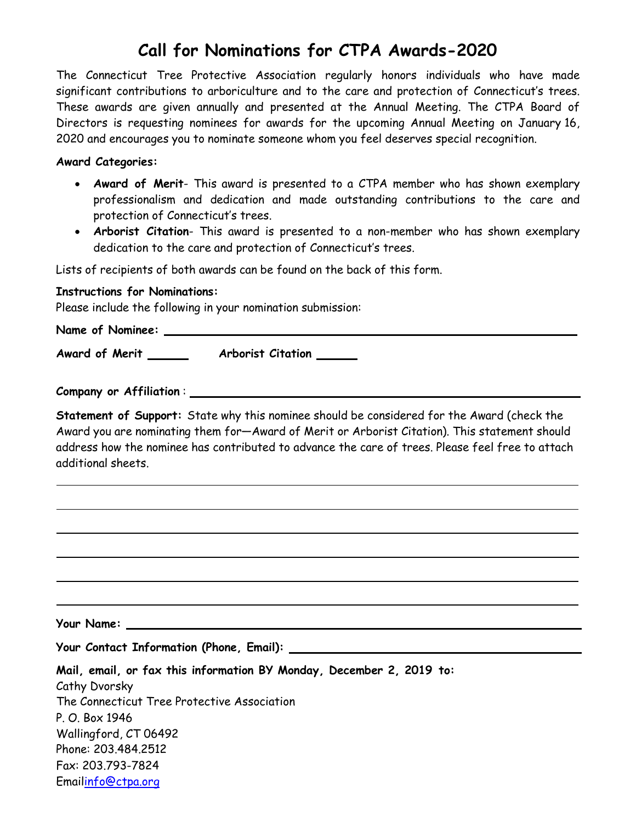# **Call for Nominations for CTPA Awards-2020**

The Connecticut Tree Protective Association regularly honors individuals who have made significant contributions to arboriculture and to the care and protection of Connecticut's trees. These awards are given annually and presented at the Annual Meeting. The CTPA Board of Directors is requesting nominees for awards for the upcoming Annual Meeting on January 16, 2020 and encourages you to nominate someone whom you feel deserves special recognition.

#### **Award Categories:**

- **Award of Merit** This award is presented to a CTPA member who has shown exemplary professionalism and dedication and made outstanding contributions to the care and protection of Connecticut's trees.
- **Arborist Citation** This award is presented to a non-member who has shown exemplary dedication to the care and protection of Connecticut's trees.

Lists of recipients of both awards can be found on the back of this form.

### **Instructions for Nominations:**

Please include the following in your nomination submission:

**Name of Nominee:**

**Award of Merit Arborist Citation**

**Company or Affiliation** :

**Statement of Support:** State why this nominee should be considered for the Award (check the Award you are nominating them for—Award of Merit or Arborist Citation). This statement should address how the nominee has contributed to advance the care of trees. Please feel free to attach additional sheets.

**Your Name:**

**Your Contact Information (Phone, Email):**

| Mail, email, or fax this information BY Monday, December 2, 2019 to: |
|----------------------------------------------------------------------|
| Cathy Dvorsky                                                        |
| The Connecticut Tree Protective Association                          |
| P. O. Box 1946                                                       |
| Wallingford, CT 06492                                                |
| Phone: 203.484.2512                                                  |
| Fax: 203,793-7824                                                    |
| Emailinfo@ctpa.org                                                   |